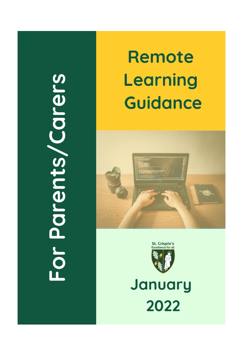# For Parents/Carers

# Remote Learning **Guidance**





January 2022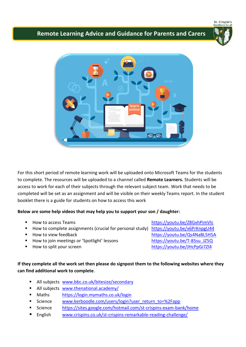St. Crispin's

## **Remote Learning Advice and Guidance for Parents and Carers**





For this short period of remote learning work will be uploaded onto Microsoft Teams for the students to complete. The resources will be uploaded to a channel called **Remote Learners.** Students will be access to work for each of their subjects through the relevant subject team. Work that needs to be completed will be set as an assignment and will be visible on their weekly Teams report. In the student booklet there is a guide for students on how to access this work

### **Below are some help videos that may help you to support your son / daughter:**

- How to access Teams <https://youtu.be/Z8GxhPimVlc>
- How to complete assignments (crucial for personal study) <https://youtu.be/x6PrKnpgU44>
- 
- How to join meetings or 'Spotlight' lessons [https://youtu.be/T-85su\\_JZ5Q](https://youtu.be/T-85su_JZ5Q)
- 

**How to view feedback <https://youtu.be/Qs4NaBL5H5A>** ■ How to split your screen <https://youtu.be/JHcPpGi7Zl4>

### **If they complete all the work set then please do signpost them to the following websites where they can find additional work to complete**.

- All subjects [www.bbc.co.uk/bitesize/secondary](http://www.bbc.co.uk/bitesize/secondary)
- All subjects [www.thenational.academy/](http://www.thenational.academy/)
- Maths <https://login.mymaths.co.uk/login>
- Science [www.kerboodle.com/users/login?user\\_return\\_to=%2Fapp](http://www.kerboodle.com/users/login?user_return_to=%2Fapp)
- Science <https://sites.google.com/hotmail.com/st-crispins-exam-bank/home>
- English [www.crispins.co.uk/st-crispins-remarkable-reading-challenge/](http://www.crispins.co.uk/st-crispins-remarkable-reading-challenge/)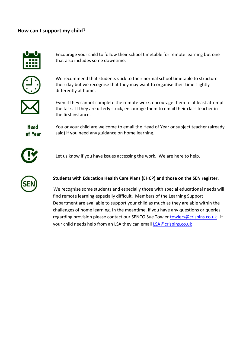### **How can I support my child?**



Encourage your child to follow their school timetable for remote learning but one that also includes some downtime.



We recommend that students stick to their normal school timetable to structure their day but we recognise that they may want to organise their time slightly differently at home.



Even if they cannot complete the remote work, encourage them to at least attempt the task. If they are utterly stuck, encourage them to email their class teacher in the first instance.

**Head** of Year You or your child are welcome to email the Head of Year or subject teacher (already said) if you need any guidance on home learning.



Let us know if you have issues accessing the work. We are here to help.



### **Students with Education Health Care Plans (EHCP) and those on the SEN register.**

 We recognise some students and especially those with special educational needs will find remote learning especially difficult. Members of the Learning Support Department are available to support your child as much as they are able within the challenges of home learning. In the meantime, if you have any questions or queries regarding provision please contact our SENCO Sue Towler [towlers@crispins.co.uk](mailto:towlers@crispins.co.uk) if your child needs help from an LSA they can email [LSA@crispins.co.uk](mailto:LSA@crispins.co.uk)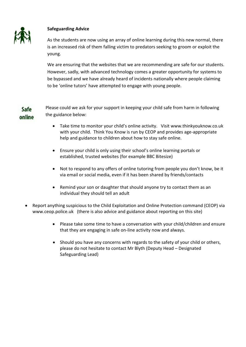

### **Safeguarding Advice**

As the students are now using an array of online learning during this new normal, there is an increased risk of them falling victim to predators seeking to groom or exploit the young.

We are ensuring that the websites that we are recommending are safe for our students. However, sadly, with advanced technology comes a greater opportunity for systems to be bypassed and we have already heard of incidents nationally where people claiming to be 'online tutors' have attempted to engage with young people.

### Please could we ask for your support in keeping your child safe from harm in following Safe the guidance below: online

- Take time to monitor your child's online activity. Visit [www.thinkyouknow.co.uk](http://www.thinkyouknow.co.uk/) with your child. Think You Know is run by CEOP and provides age-appropriate help and guidance to children about how to stay safe online.
- Ensure your child is only using their school's online learning portals or established, trusted websites (for example BBC Bitesize)
- Not to respond to any offers of online tutoring from people you don't know, be it via email or social media, even if it has been shared by friends/contacts
- Remind your son or daughter that should anyone try to contact them as an individual they should tell an adult
- Report anything suspicious to the Child Exploitation and Online Protection command (CEOP) via www.ceop.police.uk (there is also advice and guidance about reporting on this site)
	- Please take some time to have a conversation with your child/children and ensure that they are engaging in safe on-line activity now and always.
	- Should you have any concerns with regards to the safety of your child or others, please do not hesitate to contact Mr Blyth (Deputy Head – Designated Safeguarding Lead)